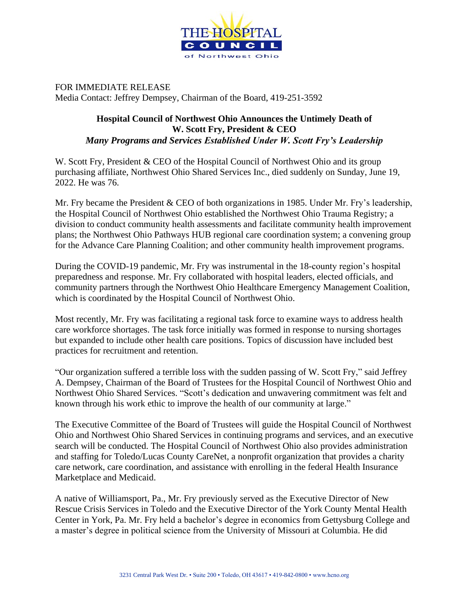

FOR IMMEDIATE RELEASE Media Contact: Jeffrey Dempsey, Chairman of the Board, 419-251-3592

## **Hospital Council of Northwest Ohio Announces the Untimely Death of W. Scott Fry, President & CEO**  *Many Programs and Services Established Under W. Scott Fry's Leadership*

W. Scott Fry, President & CEO of the Hospital Council of Northwest Ohio and its group purchasing affiliate, Northwest Ohio Shared Services Inc., died suddenly on Sunday, June 19, 2022. He was 76.

Mr. Fry became the President & CEO of both organizations in 1985. Under Mr. Fry's leadership, the Hospital Council of Northwest Ohio established the Northwest Ohio Trauma Registry; a division to conduct community health assessments and facilitate community health improvement plans; the Northwest Ohio Pathways HUB regional care coordination system; a convening group for the Advance Care Planning Coalition; and other community health improvement programs.

During the COVID-19 pandemic, Mr. Fry was instrumental in the 18-county region's hospital preparedness and response. Mr. Fry collaborated with hospital leaders, elected officials, and community partners through the Northwest Ohio Healthcare Emergency Management Coalition, which is coordinated by the Hospital Council of Northwest Ohio.

Most recently, Mr. Fry was facilitating a regional task force to examine ways to address health care workforce shortages. The task force initially was formed in response to nursing shortages but expanded to include other health care positions. Topics of discussion have included best practices for recruitment and retention.

"Our organization suffered a terrible loss with the sudden passing of W. Scott Fry," said Jeffrey A. Dempsey, Chairman of the Board of Trustees for the Hospital Council of Northwest Ohio and Northwest Ohio Shared Services. "Scott's dedication and unwavering commitment was felt and known through his work ethic to improve the health of our community at large."

The Executive Committee of the Board of Trustees will guide the Hospital Council of Northwest Ohio and Northwest Ohio Shared Services in continuing programs and services, and an executive search will be conducted. The Hospital Council of Northwest Ohio also provides administration and staffing for Toledo/Lucas County CareNet, a nonprofit organization that provides a charity care network, care coordination, and assistance with enrolling in the federal Health Insurance Marketplace and Medicaid.

A native of Williamsport, Pa., Mr. Fry previously served as the Executive Director of New Rescue Crisis Services in Toledo and the Executive Director of the York County Mental Health Center in York, Pa. Mr. Fry held a bachelor's degree in economics from Gettysburg College and a master's degree in political science from the University of Missouri at Columbia. He did